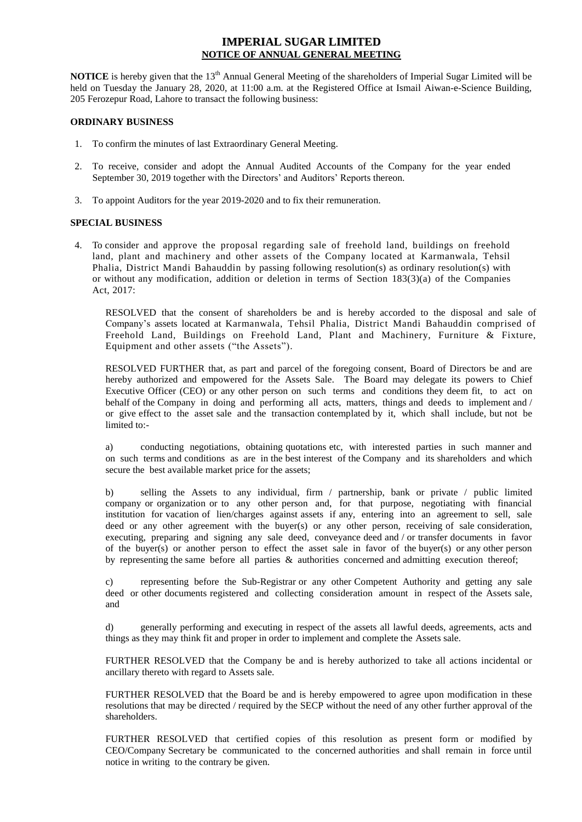# **IMPERIAL SUGAR LIMITED NOTICE OF ANNUAL GENERAL MEETING**

**NOTICE** is hereby given that the 13<sup>th</sup> Annual General Meeting of the shareholders of Imperial Sugar Limited will be held on Tuesday the January 28, 2020, at 11:00 a.m. at the Registered Office at Ismail Aiwan-e-Science Building, 205 Ferozepur Road, Lahore to transact the following business:

### **ORDINARY BUSINESS**

- 1. To confirm the minutes of last Extraordinary General Meeting.
- 2. To receive, consider and adopt the Annual Audited Accounts of the Company for the year ended September 30, 2019 together with the Directors' and Auditors' Reports thereon.
- 3. To appoint Auditors for the year 2019-2020 and to fix their remuneration.

### **SPECIAL BUSINESS**

4. To consider and approve the proposal regarding sale of freehold land, buildings on freehold land, plant and machinery and other assets of the Company located at Karmanwala, Tehsil Phalia, District Mandi Bahauddin by passing following resolution(s) as ordinary resolution(s) with or without any modification, addition or deletion in terms of Section 183(3)(a) of the Companies Act, 2017:

RESOLVED that the consent of shareholders be and is hereby accorded to the disposal and sale of Company's assets located at Karmanwala, Tehsil Phalia, District Mandi Bahauddin comprised of Freehold Land, Buildings on Freehold Land, Plant and Machinery, Furniture & Fixture, Equipment and other assets ("the Assets").

RESOLVED FURTHER that, as part and parcel of the foregoing consent, Board of Directors be and are hereby authorized and empowered for the Assets Sale. The Board may delegate its powers to Chief Executive Officer (CEO) or any other person on such terms and conditions they deem fit, to act on behalf of the Company in doing and performing all acts, matters, things and deeds to implement and / or give effect to the asset sale and the transaction contemplated by it, which shall include, but not be limited to:-

a) conducting negotiations, obtaining quotations etc, with interested parties in such manner and on such terms and conditions as are in the best interest of the Company and its shareholders and which secure the best available market price for the assets;

b) selling the Assets to any individual, firm / partnership, bank or private / public limited company or organization or to any other person and, for that purpose, negotiating with financial institution for vacation of lien/charges against assets if any, entering into an agreement to sell, sale deed or any other agreement with the buyer(s) or any other person, receiving of sale consideration, executing, preparing and signing any sale deed, conveyance deed and / or transfer documents in favor of the buyer(s) or another person to effect the asset sale in favor of the buyer(s) or any other person by representing the same before all parties & authorities concerned and admitting execution thereof;

c) representing before the Sub-Registrar or any other Competent Authority and getting any sale deed or other documents registered and collecting consideration amount in respect of the Assets sale, and

d) generally performing and executing in respect of the assets all lawful deeds, agreements, acts and things as they may think fit and proper in order to implement and complete the Assets sale.

FURTHER RESOLVED that the Company be and is hereby authorized to take all actions incidental or ancillary thereto with regard to Assets sale.

FURTHER RESOLVED that the Board be and is hereby empowered to agree upon modification in these resolutions that may be directed / required by the SECP without the need of any other further approval of the shareholders.

FURTHER RESOLVED that certified copies of this resolution as present form or modified by CEO/Company Secretary be communicated to the concerned authorities and shall remain in force until notice in writing to the contrary be given.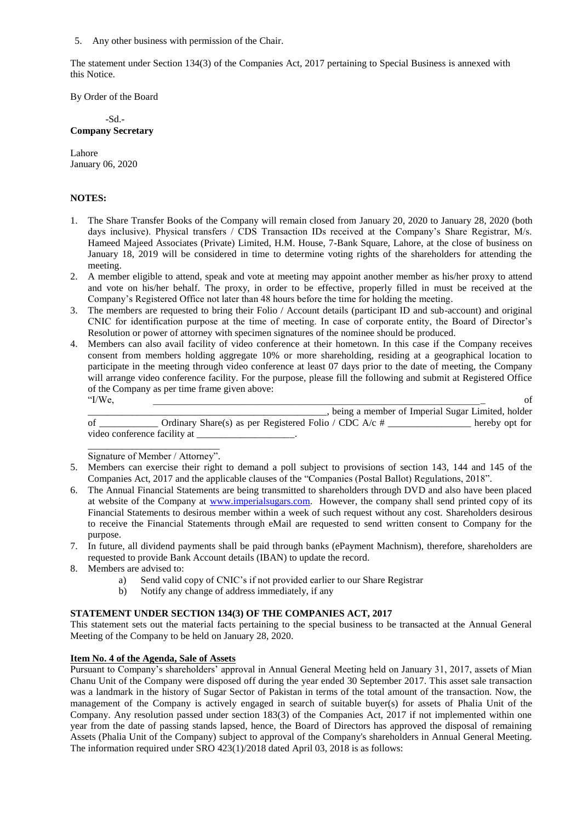5. Any other business with permission of the Chair.

The statement under Section 134(3) of the Companies Act, 2017 pertaining to Special Business is annexed with this Notice.

By Order of the Board

-Sd.- **Company Secretary** 

Lahore January 06, 2020

## **NOTES:**

- 1. The Share Transfer Books of the Company will remain closed from January 20, 2020 to January 28, 2020 (both days inclusive). Physical transfers / CDS Transaction IDs received at the Company's Share Registrar, M/s. Hameed Majeed Associates (Private) Limited, H.M. House, 7-Bank Square, Lahore, at the close of business on January 18, 2019 will be considered in time to determine voting rights of the shareholders for attending the meeting.
- 2. A member eligible to attend, speak and vote at meeting may appoint another member as his/her proxy to attend and vote on his/her behalf. The proxy, in order to be effective, properly filled in must be received at the Company's Registered Office not later than 48 hours before the time for holding the meeting.
- 3. The members are requested to bring their Folio / Account details (participant ID and sub-account) and original CNIC for identification purpose at the time of meeting. In case of corporate entity, the Board of Director's Resolution or power of attorney with specimen signatures of the nominee should be produced.
- 4. Members can also avail facility of video conference at their hometown. In this case if the Company receives consent from members holding aggregate 10% or more shareholding, residing at a geographical location to participate in the meeting through video conference at least 07 days prior to the date of meeting, the Company will arrange video conference facility. For the purpose, please fill the following and submit at Registered Office of the Company as per time frame given above:  $\text{``I/We},$  of

\_, being a member of Imperial Sugar Limited, holder of \_\_\_\_\_\_\_\_\_\_\_\_ Ordinary Share(s) as per Registered Folio / CDC A/c # \_\_\_\_\_\_\_\_\_\_\_\_\_\_\_\_\_ hereby opt for video conference facility at \_\_\_\_\_\_\_\_\_\_\_\_\_\_\_\_\_\_\_\_.

\_\_\_\_\_\_\_\_\_\_\_\_\_\_\_\_\_\_\_\_\_\_\_\_\_\_\_ Signature of Member / Attorney".

- 5. Members can exercise their right to demand a poll subject to provisions of section 143, 144 and 145 of the Companies Act, 2017 and the applicable clauses of the "Companies (Postal Ballot) Regulations, 2018".
- 6. The Annual Financial Statements are being transmitted to shareholders through DVD and also have been placed at website of the Company at [www.imperialsugars.com.](http://www.imperialsugars.com/) However, the company shall send printed copy of its Financial Statements to desirous member within a week of such request without any cost. Shareholders desirous to receive the Financial Statements through eMail are requested to send written consent to Company for the purpose.
- 7. In future, all dividend payments shall be paid through banks (ePayment Machnism), therefore, shareholders are requested to provide Bank Account details (IBAN) to update the record.
- 8. Members are advised to:
	- a) Send valid copy of CNIC's if not provided earlier to our Share Registrar
	- b) Notify any change of address immediately, if any

## **STATEMENT UNDER SECTION 134(3) OF THE COMPANIES ACT, 2017**

This statement sets out the material facts pertaining to the special business to be transacted at the Annual General Meeting of the Company to be held on January 28, 2020.

#### **Item No. 4 of the Agenda, Sale of Assets**

Pursuant to Company's shareholders' approval in Annual General Meeting held on January 31, 2017, assets of Mian Chanu Unit of the Company were disposed off during the year ended 30 September 2017. This asset sale transaction was a landmark in the history of Sugar Sector of Pakistan in terms of the total amount of the transaction. Now, the management of the Company is actively engaged in search of suitable buyer(s) for assets of Phalia Unit of the Company. Any resolution passed under section 183(3) of the Companies Act, 2017 if not implemented within one year from the date of passing stands lapsed, hence, the Board of Directors has approved the disposal of remaining Assets (Phalia Unit of the Company) subject to approval of the Company's shareholders in Annual General Meeting. The information required under SRO 423(1)/2018 dated April 03, 2018 is as follows: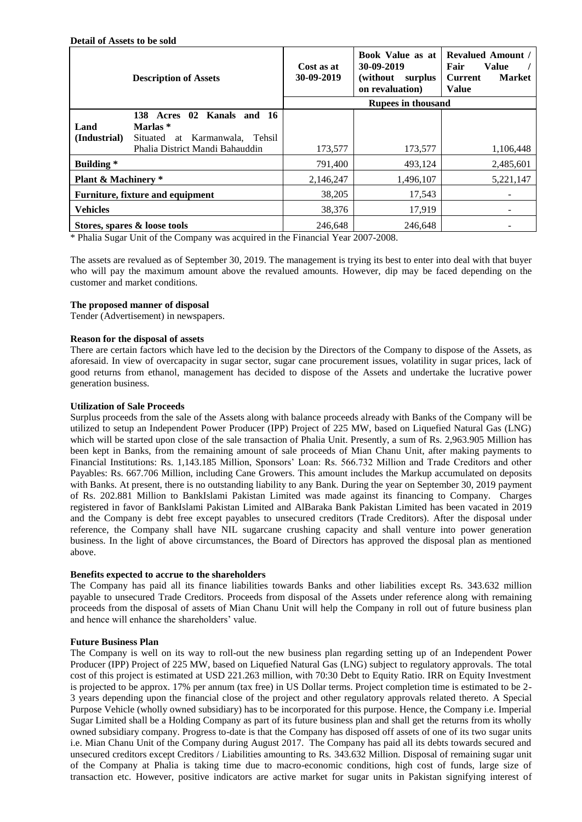|                                         | <b>Description of Assets</b>                                                                    | Cost as at<br>30-09-2019  | Book Value as at<br>30-09-2019<br>(without)<br>surplus<br>on revaluation) | <b>Revalued Amount /</b><br>Fair<br>Value<br><b>Market</b><br><b>Current</b><br><b>Value</b> |
|-----------------------------------------|-------------------------------------------------------------------------------------------------|---------------------------|---------------------------------------------------------------------------|----------------------------------------------------------------------------------------------|
|                                         |                                                                                                 | <b>Rupees in thousand</b> |                                                                           |                                                                                              |
| Land<br>(Industrial)                    | Kanals and 16<br>138 Acres<br>$\mathbf{02}$<br>Marlas *<br>Karmanwala. Tehsil<br>Situated<br>at |                           |                                                                           |                                                                                              |
|                                         | Phalia District Mandi Bahauddin                                                                 | 173,577                   | 173,577                                                                   | 1,106,448                                                                                    |
| <b>Building</b> *                       |                                                                                                 | 791,400                   | 493,124                                                                   | 2,485,601                                                                                    |
| <b>Plant &amp; Machinery</b> *          |                                                                                                 | 2,146,247                 | 1,496,107                                                                 | 5,221,147                                                                                    |
| <b>Furniture, fixture and equipment</b> |                                                                                                 | 38,205                    | 17,543                                                                    |                                                                                              |
| <b>Vehicles</b>                         |                                                                                                 | 38,376                    | 17.919                                                                    |                                                                                              |
| Stores, spares & loose tools            |                                                                                                 | 246,648                   | 246.648                                                                   |                                                                                              |

\* Phalia Sugar Unit of the Company was acquired in the Financial Year 2007-2008.

The assets are revalued as of September 30, 2019. The management is trying its best to enter into deal with that buyer who will pay the maximum amount above the revalued amounts. However, dip may be faced depending on the customer and market conditions.

## **The proposed manner of disposal**

**Detail of Assets to be sold**

Tender (Advertisement) in newspapers.

#### **Reason for the disposal of assets**

There are certain factors which have led to the decision by the Directors of the Company to dispose of the Assets, as aforesaid. In view of overcapacity in sugar sector, sugar cane procurement issues, volatility in sugar prices, lack of good returns from ethanol, management has decided to dispose of the Assets and undertake the lucrative power generation business.

### **Utilization of Sale Proceeds**

Surplus proceeds from the sale of the Assets along with balance proceeds already with Banks of the Company will be utilized to setup an Independent Power Producer (IPP) Project of 225 MW, based on Liquefied Natural Gas (LNG) which will be started upon close of the sale transaction of Phalia Unit. Presently, a sum of Rs. 2,963.905 Million has been kept in Banks, from the remaining amount of sale proceeds of Mian Chanu Unit, after making payments to Financial Institutions: Rs. 1,143.185 Million, Sponsors' Loan: Rs. 566.732 Million and Trade Creditors and other Payables: Rs. 667.706 Million, including Cane Growers. This amount includes the Markup accumulated on deposits with Banks. At present, there is no outstanding liability to any Bank. During the year on September 30, 2019 payment of Rs. 202.881 Million to BankIslami Pakistan Limited was made against its financing to Company. Charges registered in favor of BankIslami Pakistan Limited and AlBaraka Bank Pakistan Limited has been vacated in 2019 and the Company is debt free except payables to unsecured creditors (Trade Creditors). After the disposal under reference, the Company shall have NIL sugarcane crushing capacity and shall venture into power generation business. In the light of above circumstances, the Board of Directors has approved the disposal plan as mentioned above.

#### **Benefits expected to accrue to the shareholders**

The Company has paid all its finance liabilities towards Banks and other liabilities except Rs. 343.632 million payable to unsecured Trade Creditors. Proceeds from disposal of the Assets under reference along with remaining proceeds from the disposal of assets of Mian Chanu Unit will help the Company in roll out of future business plan and hence will enhance the shareholders' value.

#### **Future Business Plan**

The Company is well on its way to roll-out the new business plan regarding setting up of an Independent Power Producer (IPP) Project of 225 MW, based on Liquefied Natural Gas (LNG) subject to regulatory approvals. The total cost of this project is estimated at USD 221.263 million, with 70:30 Debt to Equity Ratio. IRR on Equity Investment is projected to be approx. 17% per annum (tax free) in US Dollar terms. Project completion time is estimated to be 2- 3 years depending upon the financial close of the project and other regulatory approvals related thereto. A Special Purpose Vehicle (wholly owned subsidiary) has to be incorporated for this purpose. Hence, the Company i.e. Imperial Sugar Limited shall be a Holding Company as part of its future business plan and shall get the returns from its wholly owned subsidiary company. Progress to-date is that the Company has disposed off assets of one of its two sugar units i.e. Mian Chanu Unit of the Company during August 2017. The Company has paid all its debts towards secured and unsecured creditors except Creditors / Liabilities amounting to Rs. 343.632 Million. Disposal of remaining sugar unit of the Company at Phalia is taking time due to macro-economic conditions, high cost of funds, large size of transaction etc. However, positive indicators are active market for sugar units in Pakistan signifying interest of